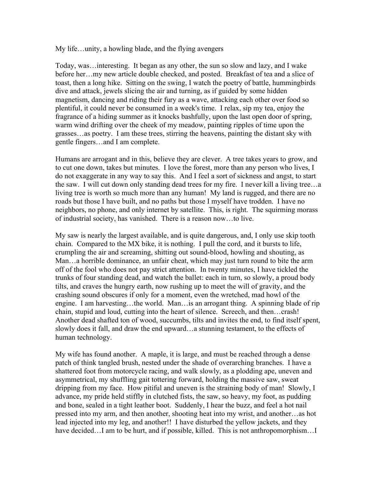My life…unity, a howling blade, and the flying avengers

Today, was…interesting. It began as any other, the sun so slow and lazy, and I wake before her…my new article double checked, and posted. Breakfast of tea and a slice of toast, then a long hike. Sitting on the swing, I watch the poetry of battle, hummingbirds dive and attack, jewels slicing the air and turning, as if guided by some hidden magnetism, dancing and riding their fury as a wave, attacking each other over food so plentiful, it could never be consumed in a week's time. I relax, sip my tea, enjoy the fragrance of a hiding summer as it knocks bashfully, upon the last open door of spring, warm wind drifting over the cheek of my meadow, painting ripples of time upon the grasses…as poetry. I am these trees, stirring the heavens, painting the distant sky with gentle fingers…and I am complete.

Humans are arrogant and in this, believe they are clever. A tree takes years to grow, and to cut one down, takes but minutes. I love the forest, more than any person who lives, I do not exaggerate in any way to say this. And I feel a sort of sickness and angst, to start the saw. I will cut down only standing dead trees for my fire. I never kill a living tree…a living tree is worth so much more than any human! My land is rugged, and there are no roads but those I have built, and no paths but those I myself have trodden. I have no neighbors, no phone, and only internet by satellite. This, is right. The squirming morass of industrial society, has vanished. There is a reason now…to live.

My saw is nearly the largest available, and is quite dangerous, and, I only use skip tooth chain. Compared to the MX bike, it is nothing. I pull the cord, and it bursts to life, crumpling the air and screaming, shitting out sound-blood, howling and shouting, as Man…a horrible dominance, an unfair cheat, which may just turn round to bite the arm off of the fool who does not pay strict attention. In twenty minutes, I have tickled the trunks of four standing dead, and watch the ballet: each in turn, so slowly, a proud body tilts, and craves the hungry earth, now rushing up to meet the will of gravity, and the crashing sound obscures if only for a moment, even the wretched, mad howl of the engine. I am harvesting…the world. Man…is an arrogant thing. A spinning blade of rip chain, stupid and loud, cutting into the heart of silence. Screech, and then…crash! Another dead shafted ton of wood, succumbs, tilts and invites the end, to find itself spent, slowly does it fall, and draw the end upward…a stunning testament, to the effects of human technology.

My wife has found another. A maple, it is large, and must be reached through a dense patch of think tangled brush, nested under the shade of overarching branches. I have a shattered foot from motorcycle racing, and walk slowly, as a plodding ape, uneven and asymmetrical, my shuffling gait tottering forward, holding the massive saw, sweat dripping from my face. How pitiful and uneven is the straining body of man! Slowly, I advance, my pride held stiffly in clutched fists, the saw, so heavy, my foot, as pudding and bone, sealed in a tight leather boot. Suddenly, I hear the buzz, and feel a hot nail pressed into my arm, and then another, shooting heat into my wrist, and another…as hot lead injected into my leg, and another!! I have disturbed the yellow jackets, and they have decided...I am to be hurt, and if possible, killed. This is not anthropomorphism...I